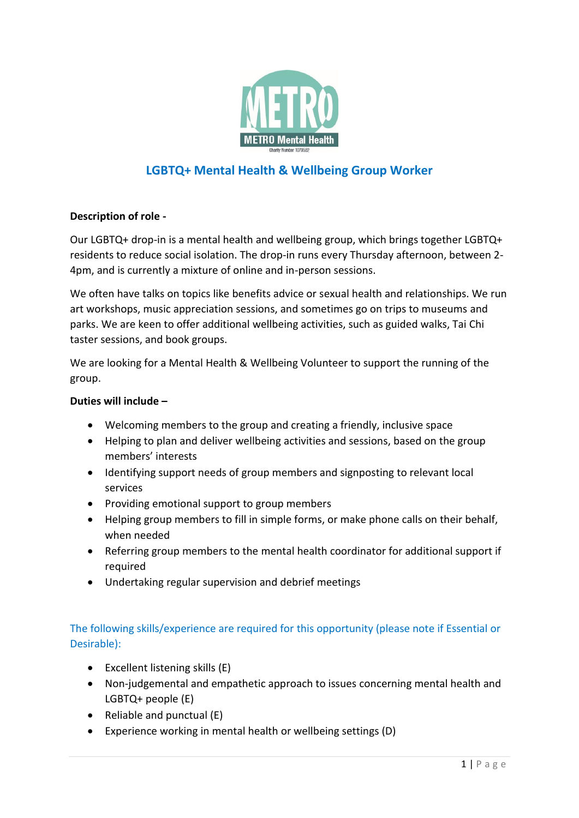

# **LGBTQ+ Mental Health & Wellbeing Group Worker**

### **Description of role -**

Our LGBTQ+ drop-in is a mental health and wellbeing group, which brings together LGBTQ+ residents to reduce social isolation. The drop-in runs every Thursday afternoon, between 2- 4pm, and is currently a mixture of online and in-person sessions.

We often have talks on topics like benefits advice or sexual health and relationships. We run art workshops, music appreciation sessions, and sometimes go on trips to museums and parks. We are keen to offer additional wellbeing activities, such as guided walks, Tai Chi taster sessions, and book groups.

We are looking for a Mental Health & Wellbeing Volunteer to support the running of the group.

### **Duties will include –**

- Welcoming members to the group and creating a friendly, inclusive space
- Helping to plan and deliver wellbeing activities and sessions, based on the group members' interests
- Identifying support needs of group members and signposting to relevant local services
- Providing emotional support to group members
- Helping group members to fill in simple forms, or make phone calls on their behalf, when needed
- Referring group members to the mental health coordinator for additional support if required
- Undertaking regular supervision and debrief meetings

## The following skills/experience are required for this opportunity (please note if Essential or Desirable):

- $\bullet$  Excellent listening skills (E)
- Non-judgemental and empathetic approach to issues concerning mental health and LGBTQ+ people (E)
- Reliable and punctual  $(E)$
- Experience working in mental health or wellbeing settings (D)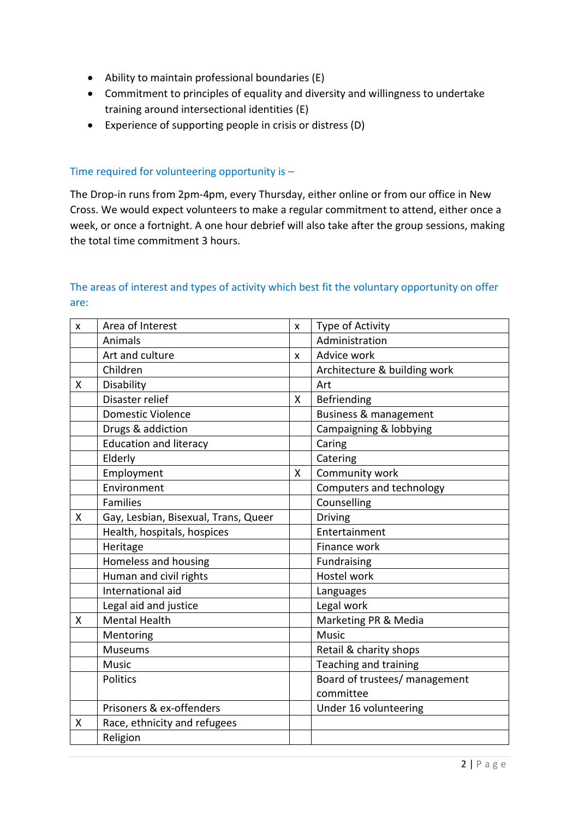- Ability to maintain professional boundaries (E)
- Commitment to principles of equality and diversity and willingness to undertake training around intersectional identities (E)
- Experience of supporting people in crisis or distress (D)

#### Time required for volunteering opportunity is –

The Drop-in runs from 2pm-4pm, every Thursday, either online or from our office in New Cross. We would expect volunteers to make a regular commitment to attend, either once a week, or once a fortnight. A one hour debrief will also take after the group sessions, making the total time commitment 3 hours.

## The areas of interest and types of activity which best fit the voluntary opportunity on offer are:

| X | Area of Interest                     | $\pmb{\mathsf{x}}$ | Type of Activity              |
|---|--------------------------------------|--------------------|-------------------------------|
|   | Animals                              |                    | Administration                |
|   | Art and culture                      | $\mathsf{x}$       | Advice work                   |
|   | Children                             |                    | Architecture & building work  |
| X | Disability                           |                    | Art                           |
|   | Disaster relief                      | X                  | Befriending                   |
|   | <b>Domestic Violence</b>             |                    | Business & management         |
|   | Drugs & addiction                    |                    | Campaigning & lobbying        |
|   | <b>Education and literacy</b>        |                    | Caring                        |
|   | Elderly                              |                    | Catering                      |
|   | Employment                           | X                  | Community work                |
|   | Environment                          |                    | Computers and technology      |
|   | Families                             |                    | Counselling                   |
| X | Gay, Lesbian, Bisexual, Trans, Queer |                    | <b>Driving</b>                |
|   | Health, hospitals, hospices          |                    | Entertainment                 |
|   | Heritage                             |                    | Finance work                  |
|   | Homeless and housing                 |                    | Fundraising                   |
|   | Human and civil rights               |                    | <b>Hostel work</b>            |
|   | International aid                    |                    | Languages                     |
|   | Legal aid and justice                |                    | Legal work                    |
| X | <b>Mental Health</b>                 |                    | Marketing PR & Media          |
|   | Mentoring                            |                    | <b>Music</b>                  |
|   | <b>Museums</b>                       |                    | Retail & charity shops        |
|   | <b>Music</b>                         |                    | Teaching and training         |
|   | Politics                             |                    | Board of trustees/ management |
|   |                                      |                    | committee                     |
|   | Prisoners & ex-offenders             |                    | Under 16 volunteering         |
| Χ | Race, ethnicity and refugees         |                    |                               |
|   | Religion                             |                    |                               |